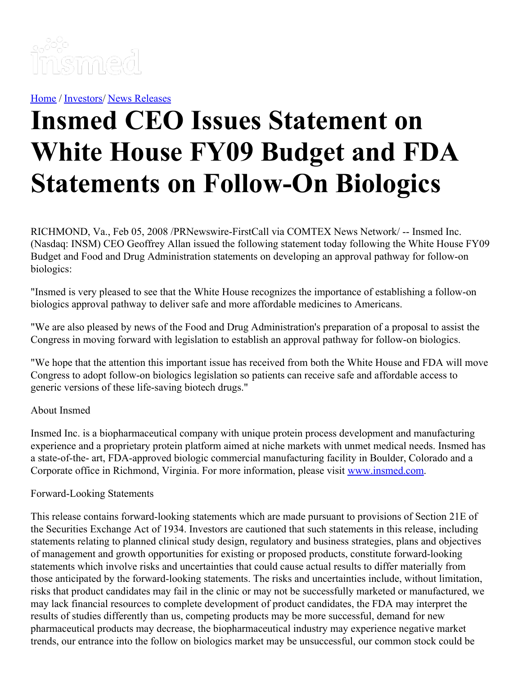

[Home](https://insmed.com/) / [Investors](https://investor.insmed.com/index)/ News [Releases](https://investor.insmed.com/releases)

## **Insmed CEO Issues Statement on White House FY09 Budget and FDA Statements on Follow-On Biologics**

RICHMOND, Va., Feb 05, 2008 /PRNewswire-FirstCall via COMTEX News Network/ -- Insmed Inc. (Nasdaq: INSM) CEO Geoffrey Allan issued the following statement today following the White House FY09 Budget and Food and Drug Administration statements on developing an approval pathway for follow-on biologics:

"Insmed is very pleased to see that the White House recognizes the importance of establishing a follow-on biologics approval pathway to deliver safe and more affordable medicines to Americans.

"We are also pleased by news of the Food and Drug Administration's preparation of a proposal to assist the Congress in moving forward with legislation to establish an approval pathway for follow-on biologics.

"We hope that the attention this important issue has received from both the White House and FDA will move Congress to adopt follow-on biologics legislation so patients can receive safe and affordable access to generic versions of these life-saving biotech drugs."

## About Insmed

Insmed Inc. is a biopharmaceutical company with unique protein process development and manufacturing experience and a proprietary protein platform aimed at niche markets with unmet medical needs. Insmed has a state-of-the- art, FDA-approved biologic commercial manufacturing facility in Boulder, Colorado and a Corporate office in Richmond, Virginia. For more information, please visit [www.insmed.com](http://www.insmed.com/).

## Forward-Looking Statements

This release contains forward-looking statements which are made pursuant to provisions of Section 21E of the Securities Exchange Act of 1934. Investors are cautioned that such statements in this release, including statements relating to planned clinical study design, regulatory and business strategies, plans and objectives of management and growth opportunities for existing or proposed products, constitute forward-looking statements which involve risks and uncertainties that could cause actual results to differ materially from those anticipated by the forward-looking statements. The risks and uncertainties include, without limitation, risks that product candidates may fail in the clinic or may not be successfully marketed or manufactured, we may lack financial resources to complete development of product candidates, the FDA may interpret the results of studies differently than us, competing products may be more successful, demand for new pharmaceutical products may decrease, the biopharmaceutical industry may experience negative market trends, our entrance into the follow on biologics market may be unsuccessful, our common stock could be